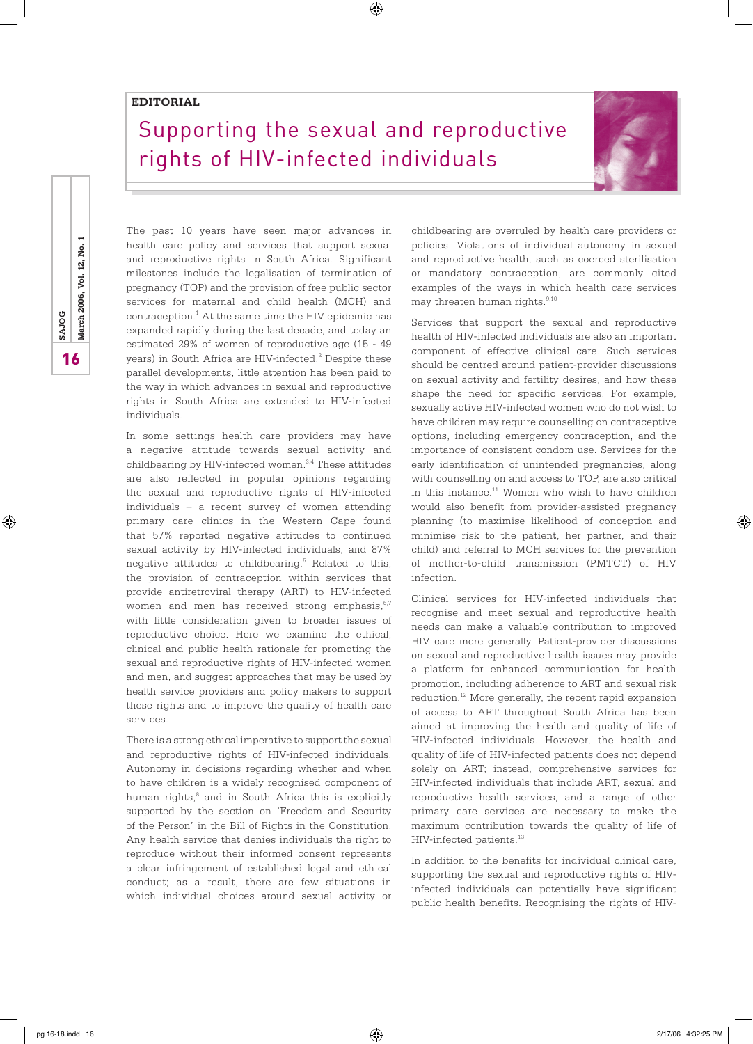## **EDITORIAL**

## Supporting the sexual and reproductive rights of HIV-infected individuals

 $\bigoplus$ 



16**SAJOG March 2006, Vol. 12, No. 1** 12, No. March 2006, Vol. **SAJOG** 16

⊕

The past 10 years have seen major advances in health care policy and services that support sexual and reproductive rights in South Africa. Significant milestones include the legalisation of termination of pregnancy (TOP) and the provision of free public sector services for maternal and child health (MCH) and contraception.<sup>1</sup> At the same time the HIV epidemic has expanded rapidly during the last decade, and today an estimated 29% of women of reproductive age (15 - 49 years) in South Africa are HIV-infected.<sup>2</sup> Despite these parallel developments, little attention has been paid to the way in which advances in sexual and reproductive rights in South Africa are extended to HIV-infected individuals.

In some settings health care providers may have a negative attitude towards sexual activity and childbearing by HIV-infected women.<sup>3,4</sup> These attitudes are also reflected in popular opinions regarding the sexual and reproductive rights of HIV-infected individuals – a recent survey of women attending primary care clinics in the Western Cape found that 57% reported negative attitudes to continued sexual activity by HIV-infected individuals, and 87% negative attitudes to childbearing.<sup>5</sup> Related to this, the provision of contraception within services that provide antiretroviral therapy (ART) to HIV-infected women and men has received strong emphasis, $6,7$ with little consideration given to broader issues of reproductive choice. Here we examine the ethical, clinical and public health rationale for promoting the sexual and reproductive rights of HIV-infected women and men, and suggest approaches that may be used by health service providers and policy makers to support these rights and to improve the quality of health care services.

There is a strong ethical imperative to support the sexual and reproductive rights of HIV-infected individuals. Autonomy in decisions regarding whether and when to have children is a widely recognised component of human rights,<sup>8</sup> and in South Africa this is explicitly supported by the section on 'Freedom and Security of the Person' in the Bill of Rights in the Constitution. Any health service that denies individuals the right to reproduce without their informed consent represents a clear infringement of established legal and ethical conduct; as a result, there are few situations in which individual choices around sexual activity or

childbearing are overruled by health care providers or policies. Violations of individual autonomy in sexual and reproductive health, such as coerced sterilisation or mandatory contraception, are commonly cited examples of the ways in which health care services may threaten human rights.<sup>9,10</sup>

Services that support the sexual and reproductive health of HIV-infected individuals are also an important component of effective clinical care. Such services should be centred around patient-provider discussions on sexual activity and fertility desires, and how these shape the need for specific services. For example, sexually active HIV-infected women who do not wish to have children may require counselling on contraceptive options, including emergency contraception, and the importance of consistent condom use. Services for the early identification of unintended pregnancies, along with counselling on and access to TOP, are also critical in this instance. $11$  Women who wish to have children would also benefit from provider-assisted pregnancy planning (to maximise likelihood of conception and minimise risk to the patient, her partner, and their child) and referral to MCH services for the prevention of mother-to-child transmission (PMTCT) of HIV infection.

Clinical services for HIV-infected individuals that recognise and meet sexual and reproductive health needs can make a valuable contribution to improved HIV care more generally. Patient-provider discussions on sexual and reproductive health issues may provide a platform for enhanced communication for health promotion, including adherence to ART and sexual risk reduction.<sup>12</sup> More generally, the recent rapid expansion of access to ART throughout South Africa has been aimed at improving the health and quality of life of HIV-infected individuals. However, the health and quality of life of HIV-infected patients does not depend solely on ART; instead, comprehensive services for HIV-infected individuals that include ART, sexual and reproductive health services, and a range of other primary care services are necessary to make the maximum contribution towards the quality of life of HIV-infected patients.13

In addition to the benefits for individual clinical care, supporting the sexual and reproductive rights of HIVinfected individuals can potentially have significant public health benefits. Recognising the rights of HIV- ⊕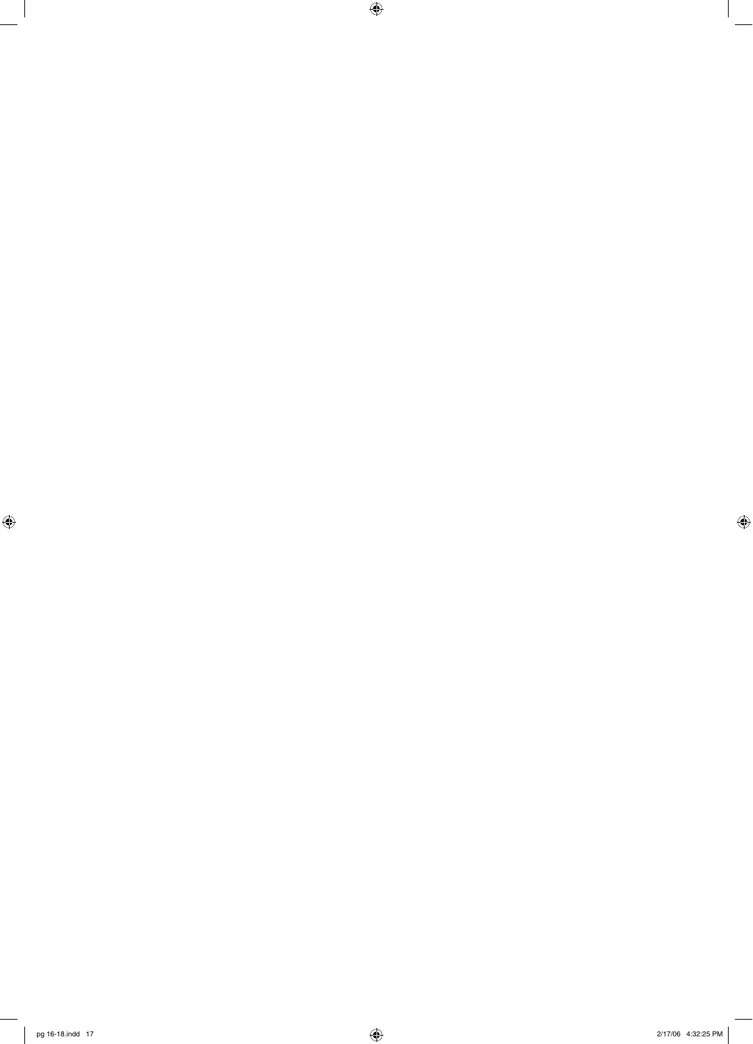$\mathbb{R}^2$ 

 $\bigoplus$ 

 $\overline{\phantom{a}}$ 

 $\bigoplus$ 

 $\bigoplus$